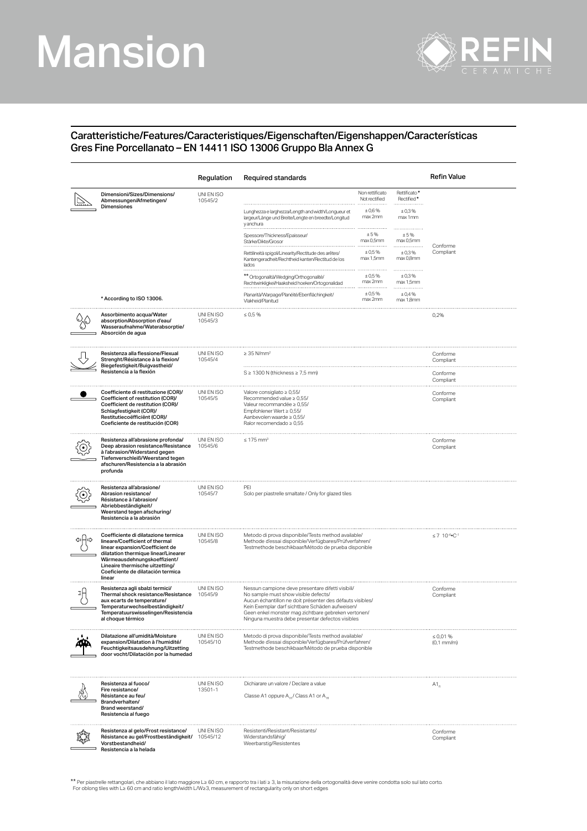## Mansion



## Caratteristiche/Features/Caracteristiques/Eigenschaften/Eigenshappen/Características Gres Fine Porcellanato – EN 14411 ISO 13006 Gruppo Bla Annex G

|                                                                                                                                                                                                                                                                    | Regulation             | Required standards                                                                                                                                                                                                                                                                                                   |                                                      |                                                 | Refin Value                       |
|--------------------------------------------------------------------------------------------------------------------------------------------------------------------------------------------------------------------------------------------------------------------|------------------------|----------------------------------------------------------------------------------------------------------------------------------------------------------------------------------------------------------------------------------------------------------------------------------------------------------------------|------------------------------------------------------|-------------------------------------------------|-----------------------------------|
| Dimensioni/Sizes/Dimensions/<br>Abmessungen/Afmetingen/<br>Dimensiones                                                                                                                                                                                             | UNI EN ISO<br>10545/2  | Lunghezza e larghezza/Length and width/Longueur et<br>largeur/Länge und Breite/Lengte en breedte/Longitud                                                                                                                                                                                                            | Non rettificato<br>Not rectified<br>±0,6%<br>max 2mm | Rettificato*<br>Rectified*<br>± 0.3%<br>max 1mm |                                   |
|                                                                                                                                                                                                                                                                    |                        | y anchura<br>Spessore/Thickness/Epaisseur.<br>Stärke/Dikte/Grosor                                                                                                                                                                                                                                                    | ±5%<br>max 0,5mm                                     | ±5%<br>max 0,5mm                                |                                   |
|                                                                                                                                                                                                                                                                    |                        | Rettilineità spigoli/Linearity/Rectitude des arêtes/<br>Kantengeradheit/Rechtheid kanten/Rectitud de los<br>lados                                                                                                                                                                                                    | ± 0.5%<br>max 1,5mm                                  | ±0,3%<br>max 0,8mm                              | Conforme<br>Compliant             |
|                                                                                                                                                                                                                                                                    |                        | ** Ortogonalità/Wedging/Orthogonalité/<br>Rechtwinkligkei/Haaksheid hoeken/Ortogonalidad                                                                                                                                                                                                                             | <br>± 0.5%<br>max 2mm                                | .<br>±0,3%<br>max 1,5mm                         |                                   |
| * According to ISO 13006.                                                                                                                                                                                                                                          |                        | Planarità/Warpage/Planéité/Ebenflächingkeit/<br>Vlakheid/Planitud                                                                                                                                                                                                                                                    | ± 0.5%<br>max 2mm                                    | ± 0,4%<br>max 1,8mm                             |                                   |
| Assorbimento acqua/Water<br>absorption/Absorption d'eau/<br>Wasseraufnahme/Waterabsorptie/<br>Absorción de agua                                                                                                                                                    | UNI EN ISO<br>10545/3  | $\leq 0.5 \%$                                                                                                                                                                                                                                                                                                        |                                                      |                                                 | 0,2%                              |
| Resistenza alla flessione/Flexual<br>Strenght/Résistance à la flexion/<br>Biegefestigkeit/Buigvastheid/                                                                                                                                                            | UNI EN ISO<br>10545/4  | $\geq$ 35 N/mm <sup>2</sup>                                                                                                                                                                                                                                                                                          |                                                      |                                                 | Conforme<br>Compliant             |
| Resistencia a la flexión                                                                                                                                                                                                                                           |                        | $S \geq 1300$ N (thickness $\geq 7.5$ mm)                                                                                                                                                                                                                                                                            |                                                      |                                                 | Conforme<br>Compliant             |
| Coefficiente di restituzione (COR)/<br>Coefficient of restitution (COR)/<br>Coefficient de restitution (COR)/<br>Schlagfestigkeit (COR)/<br>Restitutiecoëfficiënt (COR)/<br>Coeficiente de restitución (COR)                                                       | UNI EN ISO<br>10545/5  | Valore consigliato $\geq 0.55$ /<br>Recommended value $\geq 0.55$ /<br>Valeur recommandée ≥ 0.55/<br>Empfohlener Wert ≥ 0,55/<br>Aanbevolen waarde ≥ 0,55/<br>Ralor recomendado $\geq 0.55$                                                                                                                          |                                                      |                                                 | Conforme<br>Compliant             |
| Resistenza all'abrasione profonda/<br>Deep abrasion resistance/Resistance<br>à l'abrasion/Widerstand gegen<br>Tiefenverschleiß/Weerstand tegen<br>afschuren/Resistencia a la abrasión<br>profunda                                                                  | UNI EN ISO<br>10545/6  | $\leq 175$ mm <sup>3</sup>                                                                                                                                                                                                                                                                                           |                                                      |                                                 | Conforme<br>Compliant             |
| Resistenza all'abrasione/<br>Abrasion resistance/<br>Résistance à l'abrasion/<br>Abriebbeständigkeit/<br>Weerstand tegen afschuring/<br>Resistencia a la abrasión                                                                                                  | UNI EN ISO<br>10545/7  | PEI<br>Solo per piastrelle smaltate / Only for glazed tiles                                                                                                                                                                                                                                                          |                                                      |                                                 |                                   |
| Coefficiente di dilatazione termica<br>lineare/Coefficient of thermal<br>linear expansion/Coefficient de<br>dilatation thermique linear/Linearer<br>Wärmeausdehnungskoeffizient/<br>Lineaire thermische uitzetting/<br>Coeficiente de dilatación termica<br>linear | UNI EN ISO<br>10545/8  | Metodo di prova disponibile/Tests method available/<br>Methode d'essai disponible/Verfügbares/Prüfverfahren/<br>Testmethode beschikbaar/Método de prueba disponible                                                                                                                                                  |                                                      | $\leq 7$ 10 <sup>-6</sup> °C <sup>-1</sup>      |                                   |
| Resistenza agli sbalzi termici/<br>Thermal shock resistance/Resistance<br>aux ecarts de temperature/<br>Temperaturwechselbeständigkeit/<br>Temperatuurswisselingen/Resistencia<br>al choque térmico                                                                | UNI EN ISO<br>10545/9  | Nessun campione deve presentare difetti visibili/<br>No sample must show visible defects/<br>Aucun échantillon ne doit présenter des défauts visibles/<br>Kein Exemplar darf sichtbare Schäden aufweisen/<br>Geen enkel monster mag zichtbare gebreken vertonen/<br>Ninguna muestra debe presentar defectos visibles |                                                      | Conforme<br>Compliant                           |                                   |
| Dilatazione all'umidità/Moisture<br>expansion/Dilatation à l'humidité/<br>Feuchtigkeitsausdehnung/Uitzetting<br>door vocht/Dilatación por la humedad                                                                                                               | UNI EN ISO<br>10545/10 | Metodo di prova disponibile/Tests method available/<br>Methode d'essai disponible/Verfügbares/Prüfverfahren/<br>Testmethode beschikbaar/Método de prueba disponible                                                                                                                                                  |                                                      |                                                 | $\leq 0.01 \%$<br>$(0,1$ mm/m $)$ |
| Resistenza al fuoco/<br>Fire resistance/<br>Résistance au feu/<br>Brandverhalten/<br>Brand weerstand/<br>Resistencia al fuego                                                                                                                                      | UNI EN ISO<br>13501-1  | Dichiarare un valore / Declare a value<br>Classe A1 oppure A <sub>10</sub> / Class A1 or A <sub>10</sub>                                                                                                                                                                                                             |                                                      |                                                 | $A1_{\alpha}$                     |
| Resistenza al gelo/Frost resistance/<br>Résistance au gel/Frostbeständigkeit/<br>Vorstbestandheid/<br>Resistencia a la helada                                                                                                                                      | UNI EN ISO<br>10545/12 | Resistenti/Resistant/Resistants/<br>Widerstandsfähig/<br>Weerbarstig/Resistentes                                                                                                                                                                                                                                     |                                                      |                                                 | Conforme<br>Compliant             |

\*\* Per piastrelle rettangolari, che abbiano il lato maggiore L≥ 60 cm, e rapporto tra i lati ≥ 3, la misurazione della ortogonalità deve venire condotta solo sul lato corto<br>For oblong tiles with L≥ 60 cm and ratio length/